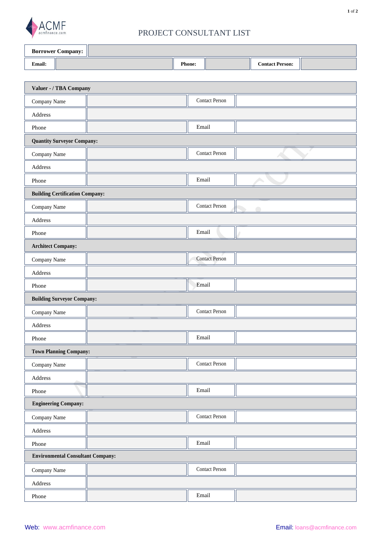

## PROJECT CONSULTANT LIST

| <b>Borrower Company:</b> |  |               |  |                        |  |
|--------------------------|--|---------------|--|------------------------|--|
| <b>Email:</b>            |  | <b>Phone:</b> |  | <b>Contact Person:</b> |  |

| Valuer - / TBA Company                   |                                    |  |  |  |  |
|------------------------------------------|------------------------------------|--|--|--|--|
| Company Name                             | <b>Contact Person</b>              |  |  |  |  |
| Address                                  |                                    |  |  |  |  |
| Phone                                    | Email                              |  |  |  |  |
| <b>Quantity Surveyor Company:</b>        |                                    |  |  |  |  |
| Company Name                             | <b>Contact Person</b>              |  |  |  |  |
| Address                                  |                                    |  |  |  |  |
| Phone                                    | Email                              |  |  |  |  |
| <b>Building Certification Company:</b>   |                                    |  |  |  |  |
| Company Name                             | <b>Contact Person</b><br>$\subset$ |  |  |  |  |
| Address                                  |                                    |  |  |  |  |
| Phone                                    | Email                              |  |  |  |  |
| <b>Architect Company:</b>                |                                    |  |  |  |  |
| Company Name                             | <b>Contact Person</b>              |  |  |  |  |
| Address                                  |                                    |  |  |  |  |
| Phone                                    | Email                              |  |  |  |  |
| <b>Building Surveyor Company:</b>        |                                    |  |  |  |  |
| Company Name                             | Contact Person                     |  |  |  |  |
| Address                                  |                                    |  |  |  |  |
| Phone                                    | Email                              |  |  |  |  |
| <b>Town Planning Company:</b>            |                                    |  |  |  |  |
| Company Name                             | <b>Contact Person</b>              |  |  |  |  |
| Address                                  |                                    |  |  |  |  |
| Phone                                    | Email                              |  |  |  |  |
| <b>Engineering Company:</b>              |                                    |  |  |  |  |
| Company Name                             | <b>Contact Person</b>              |  |  |  |  |
| $\operatorname{\sf Address}$             |                                    |  |  |  |  |
| Phone                                    | Email                              |  |  |  |  |
| <b>Environmental Consultant Company:</b> |                                    |  |  |  |  |
| Company Name                             | <b>Contact Person</b>              |  |  |  |  |
| Address                                  |                                    |  |  |  |  |
| Phone                                    | Email                              |  |  |  |  |